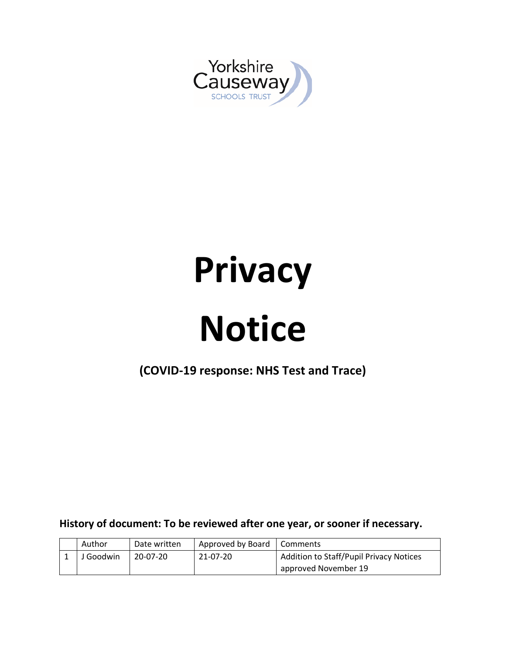

# **Privacy**

## **Notice**

**(COVID-19 response: NHS Test and Trace)**

**History of document: To be reviewed after one year, or sooner if necessary.**

| Author    | Date written | Approved by Board   Comments |                                         |
|-----------|--------------|------------------------------|-----------------------------------------|
| J Goodwin | 20-07-20     | 21-07-20                     | Addition to Staff/Pupil Privacy Notices |
|           |              |                              | approved November 19                    |